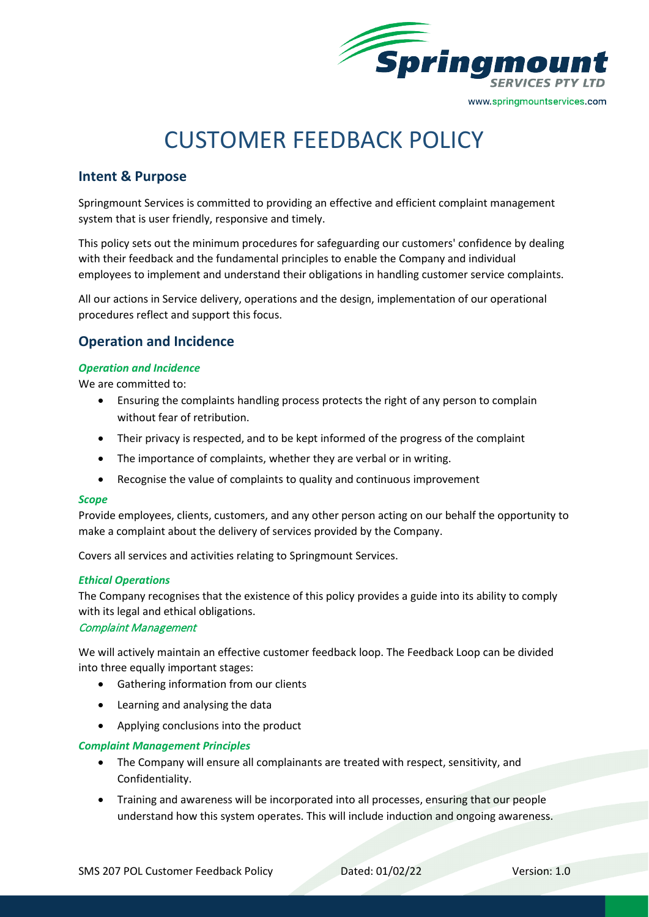

# CUSTOMER FEEDBACK POLICY

# **Intent & Purpose**

Springmount Services is committed to providing an effective and efficient complaint management system that is user friendly, responsive and timely.

This policy sets out the minimum procedures for safeguarding our customers' confidence by dealing with their feedback and the fundamental principles to enable the Company and individual employees to implement and understand their obligations in handling customer service complaints.

All our actions in Service delivery, operations and the design, implementation of our operational procedures reflect and support this focus.

# **Operation and Incidence**

#### *Operation and Incidence*

We are committed to:

- Ensuring the complaints handling process protects the right of any person to complain without fear of retribution.
- Their privacy is respected, and to be kept informed of the progress of the complaint
- The importance of complaints, whether they are verbal or in writing.
- Recognise the value of complaints to quality and continuous improvement

#### *Scope*

Provide employees, clients, customers, and any other person acting on our behalf the opportunity to make a complaint about the delivery of services provided by the Company.

Covers all services and activities relating to Springmount Services.

#### *Ethical Operations*

The Company recognises that the existence of this policy provides a guide into its ability to comply with its legal and ethical obligations.

#### Complaint Management

We will actively maintain an effective customer feedback loop. The Feedback Loop can be divided into three equally important stages:

- Gathering information from our clients
- Learning and analysing the data
- Applying conclusions into the product

#### *Complaint Management Principles*

- The Company will ensure all complainants are treated with respect, sensitivity, and Confidentiality.
- Training and awareness will be incorporated into all processes, ensuring that our people understand how this system operates. This will include induction and ongoing awareness.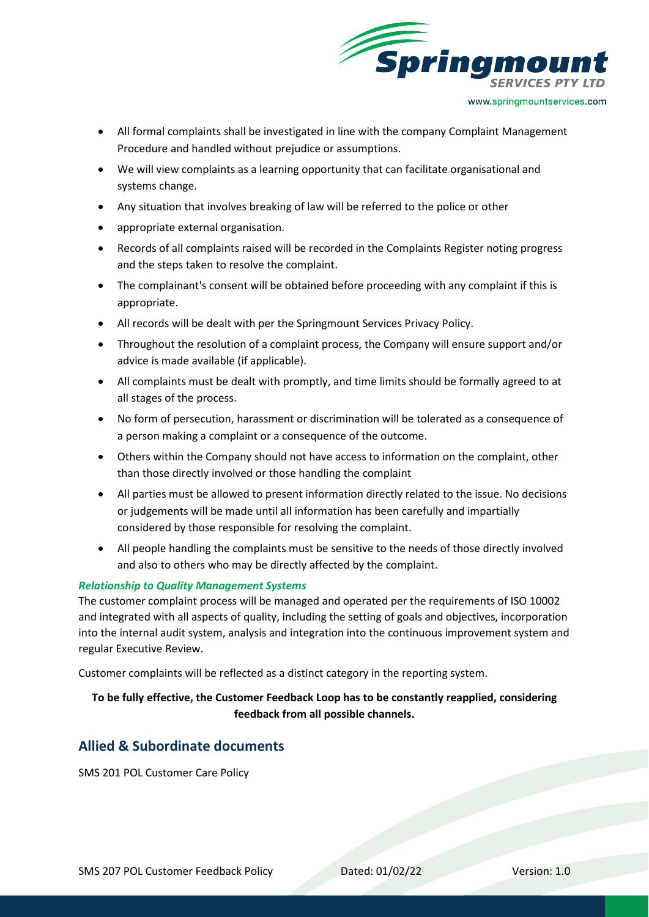

- All formal complaints shall be investigated in line with the company Complaint Management Procedure and handled without prejudice or assumptions.
- We will view complaints as a learning opportunity that can facilitate organisational and systems change.
- Any situation that involves breaking of law will be referred to the police or other
- appropriate external organisation.
- Records of all complaints raised will be recorded in the Complaints Register noting progress and the steps taken to resolve the complaint.
- The complainant's consent will be obtained before proceeding with any complaint if this is appropriate.
- All records will be dealt with per the Springmount Services Privacy Policy.
- Throughout the resolution of a complaint process, the Company will ensure support and/or advice is made available (if applicable).
- All complaints must be dealt with promptly, and time limits should be formally agreed to at all stages of the process.
- No form of persecution, harassment or discrimination will be tolerated as a consequence of a person making a complaint or a consequence of the outcome.
- Others within the Company should not have access to information on the complaint, other than those directly involved or those handling the complaint
- All parties must be allowed to present information directly related to the issue. No decisions or judgements will be made until all information has been carefully and impartially considered by those responsible for resolving the complaint.
- All people handling the complaints must be sensitive to the needs of those directly involved and also to others who may be directly affected by the complaint.

#### *Relationship to Quality Management Systems*

The customer complaint process will be managed and operated per the requirements of ISO 10002 and integrated with all aspects of quality, including the setting of goals and objectives, incorporation into the internal audit system, analysis and integration into the continuous improvement system and regular Executive Review.

Customer complaints will be reflected as a distinct category in the reporting system.

## **To be fully effective, the Customer Feedback Loop has to be constantly reapplied, considering feedback from all possible channels.**

## **Allied & Subordinate documents**

SMS 201 POL Customer Care Policy